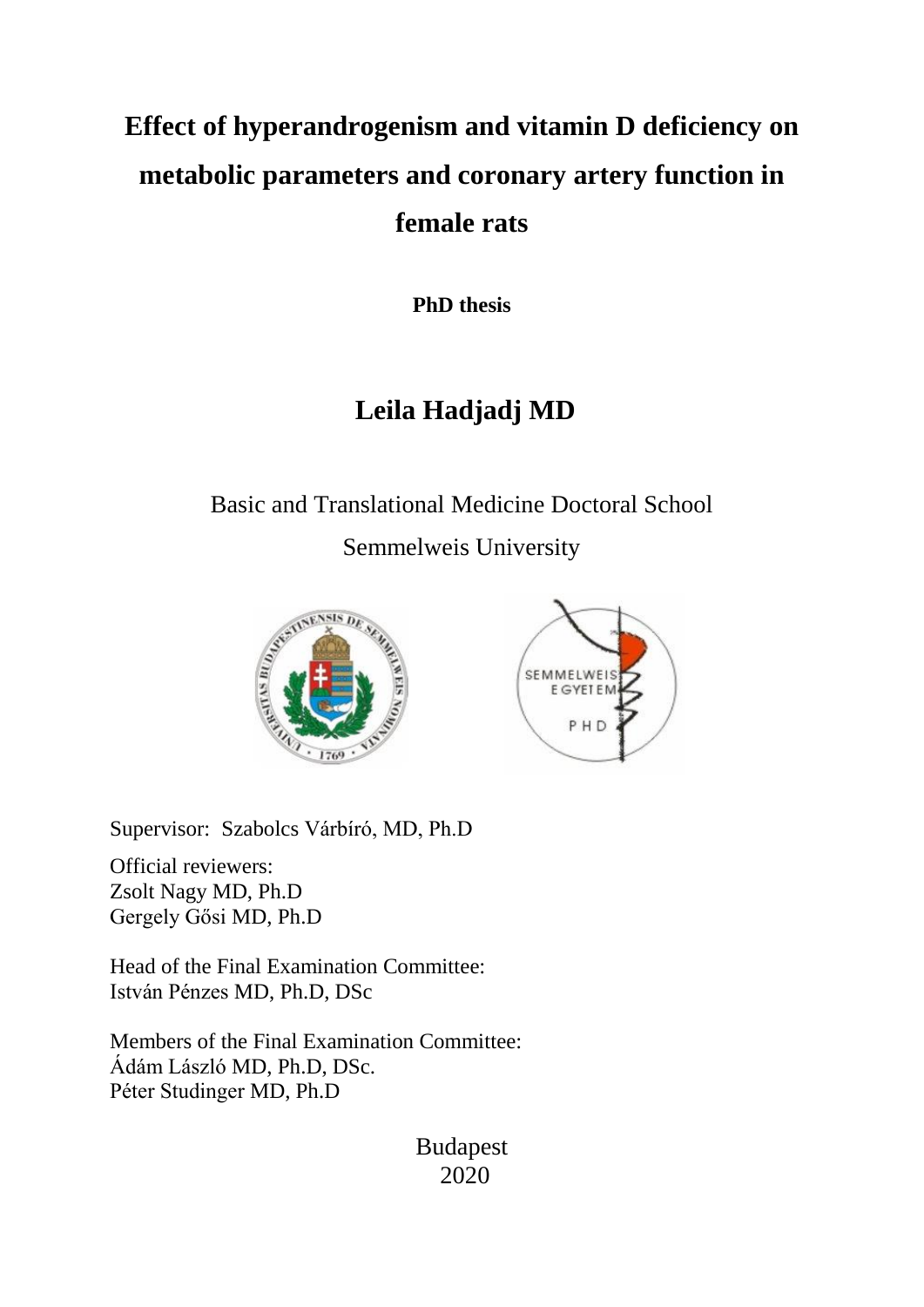# **Effect of hyperandrogenism and vitamin D deficiency on metabolic parameters and coronary artery function in female rats**

**PhD thesis**

## **Leila Hadjadj MD**

## Basic and Translational Medicine Doctoral School Semmelweis University





Supervisor: Szabolcs Várbíró, MD, Ph.D

Official reviewers: Zsolt Nagy MD, Ph.D Gergely Gősi MD, Ph.D

Head of the Final Examination Committee: István Pénzes MD, Ph.D, DSc

Members of the Final Examination Committee: Ádám László MD, Ph.D, DSc. Péter Studinger MD, Ph.D

> Budapest 2020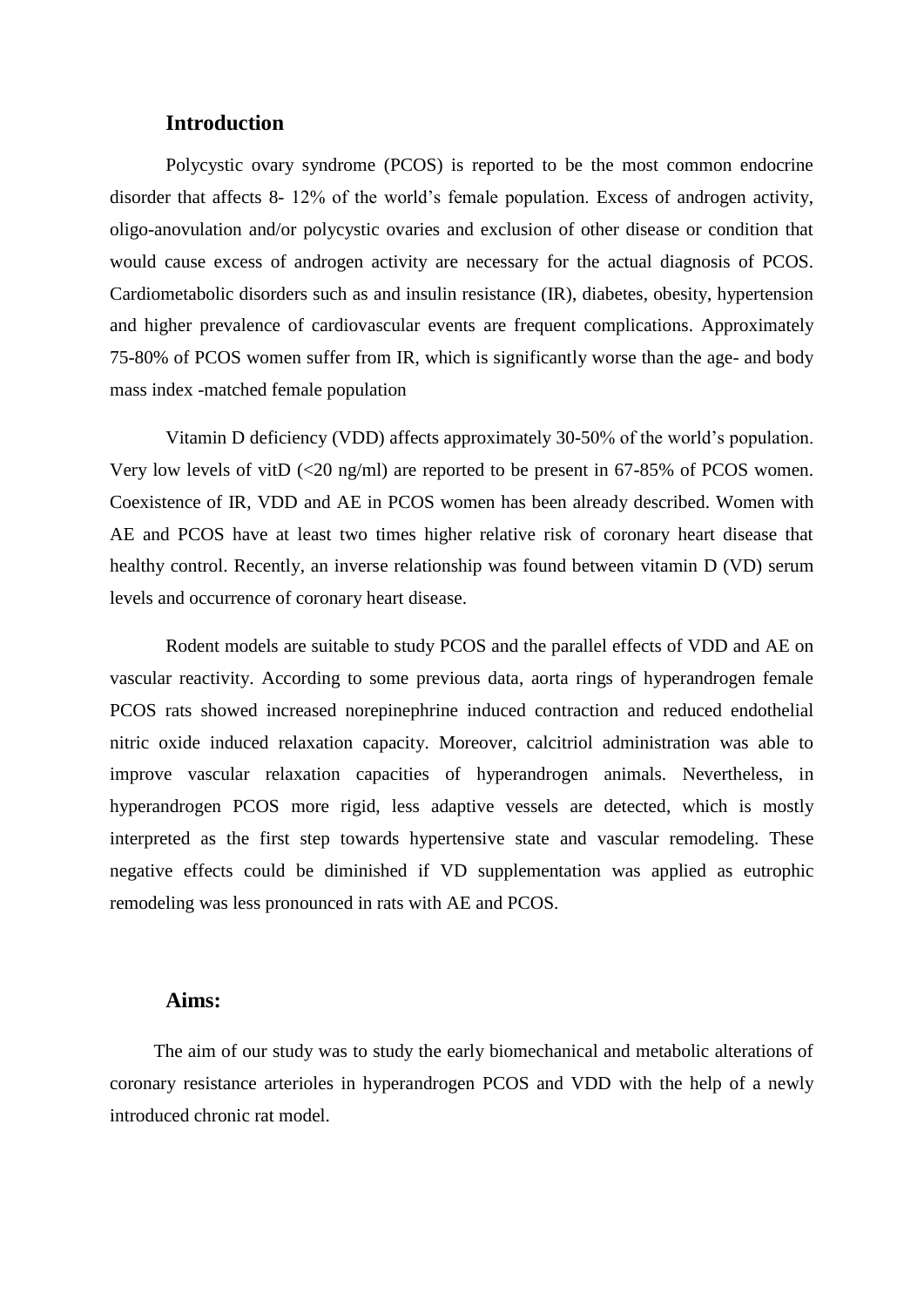## **Introduction**

Polycystic ovary syndrome (PCOS) is reported to be the most common endocrine disorder that affects 8- 12% of the world's female population. Excess of androgen activity, oligo-anovulation and/or polycystic ovaries and exclusion of other disease or condition that would cause excess of androgen activity are necessary for the actual diagnosis of PCOS. Cardiometabolic disorders such as and insulin resistance (IR), diabetes, obesity, hypertension and higher prevalence of cardiovascular events are frequent complications. Approximately 75-80% of PCOS women suffer from IR, which is significantly worse than the age- and body mass index -matched female population

Vitamin D deficiency (VDD) affects approximately 30-50% of the world's population. Very low levels of vitD  $\left( \langle 20 \text{ ng/ml} \rangle \right)$  are reported to be present in 67-85% of PCOS women. Coexistence of IR, VDD and AE in PCOS women has been already described. Women with AE and PCOS have at least two times higher relative risk of coronary heart disease that healthy control. Recently, an inverse relationship was found between vitamin D (VD) serum levels and occurrence of coronary heart disease.

Rodent models are suitable to study PCOS and the parallel effects of VDD and AE on vascular reactivity. According to some previous data, aorta rings of hyperandrogen female PCOS rats showed increased norepinephrine induced contraction and reduced endothelial nitric oxide induced relaxation capacity. Moreover, calcitriol administration was able to improve vascular relaxation capacities of hyperandrogen animals. Nevertheless, in hyperandrogen PCOS more rigid, less adaptive vessels are detected, which is mostly interpreted as the first step towards hypertensive state and vascular remodeling. These negative effects could be diminished if VD supplementation was applied as eutrophic remodeling was less pronounced in rats with AE and PCOS.

### **Aims:**

The aim of our study was to study the early biomechanical and metabolic alterations of coronary resistance arterioles in hyperandrogen PCOS and VDD with the help of a newly introduced chronic rat model.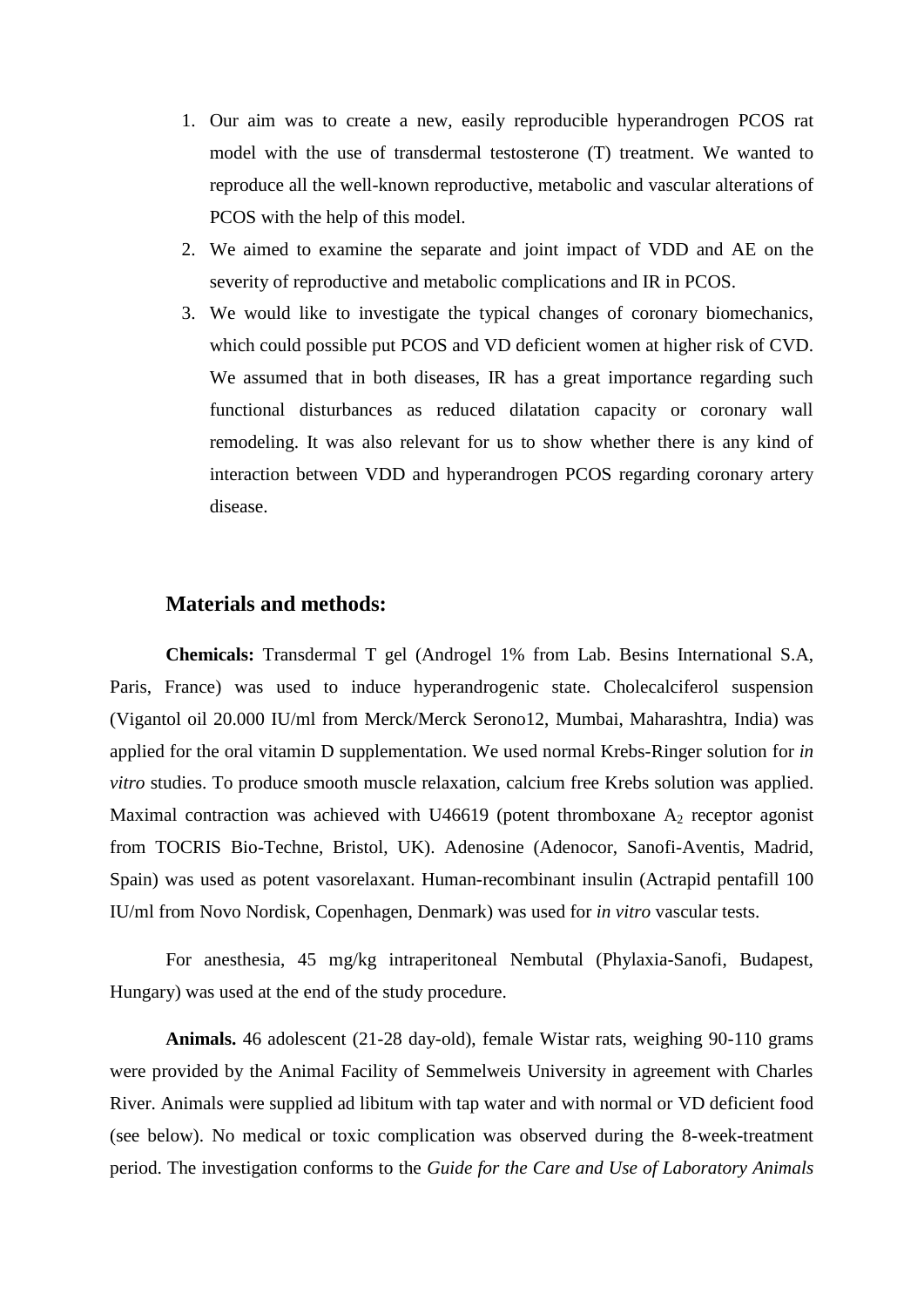- 1. Our aim was to create a new, easily reproducible hyperandrogen PCOS rat model with the use of transdermal testosterone (T) treatment. We wanted to reproduce all the well-known reproductive, metabolic and vascular alterations of PCOS with the help of this model.
- 2. We aimed to examine the separate and joint impact of VDD and AE on the severity of reproductive and metabolic complications and IR in PCOS.
- 3. We would like to investigate the typical changes of coronary biomechanics, which could possible put PCOS and VD deficient women at higher risk of CVD. We assumed that in both diseases, IR has a great importance regarding such functional disturbances as reduced dilatation capacity or coronary wall remodeling. It was also relevant for us to show whether there is any kind of interaction between VDD and hyperandrogen PCOS regarding coronary artery disease.

## **Materials and methods:**

**Chemicals:** Transdermal T gel (Androgel 1% from Lab. Besins International S.A, Paris, France) was used to induce hyperandrogenic state. Cholecalciferol suspension (Vigantol oil 20.000 IU/ml from Merck/Merck Serono12, Mumbai, Maharashtra, India) was applied for the oral vitamin D supplementation. We used normal Krebs-Ringer solution for *in vitro* studies. To produce smooth muscle relaxation, calcium free Krebs solution was applied. Maximal contraction was achieved with U46619 (potent thromboxane  $A_2$  receptor agonist from TOCRIS Bio-Techne, Bristol, UK). Adenosine (Adenocor, Sanofi-Aventis, Madrid, Spain) was used as potent vasorelaxant. Human-recombinant insulin (Actrapid pentafill 100 IU/ml from Novo Nordisk, Copenhagen, Denmark) was used for *in vitro* vascular tests.

For anesthesia, 45 mg/kg intraperitoneal Nembutal (Phylaxia-Sanofi, Budapest, Hungary) was used at the end of the study procedure.

**Animals.** 46 adolescent (21-28 day-old), female Wistar rats, weighing 90-110 grams were provided by the Animal Facility of Semmelweis University in agreement with Charles River. Animals were supplied ad libitum with tap water and with normal or VD deficient food (see below). No medical or toxic complication was observed during the 8-week-treatment period. The investigation conforms to the *Guide for the Care and Use of Laboratory Animals*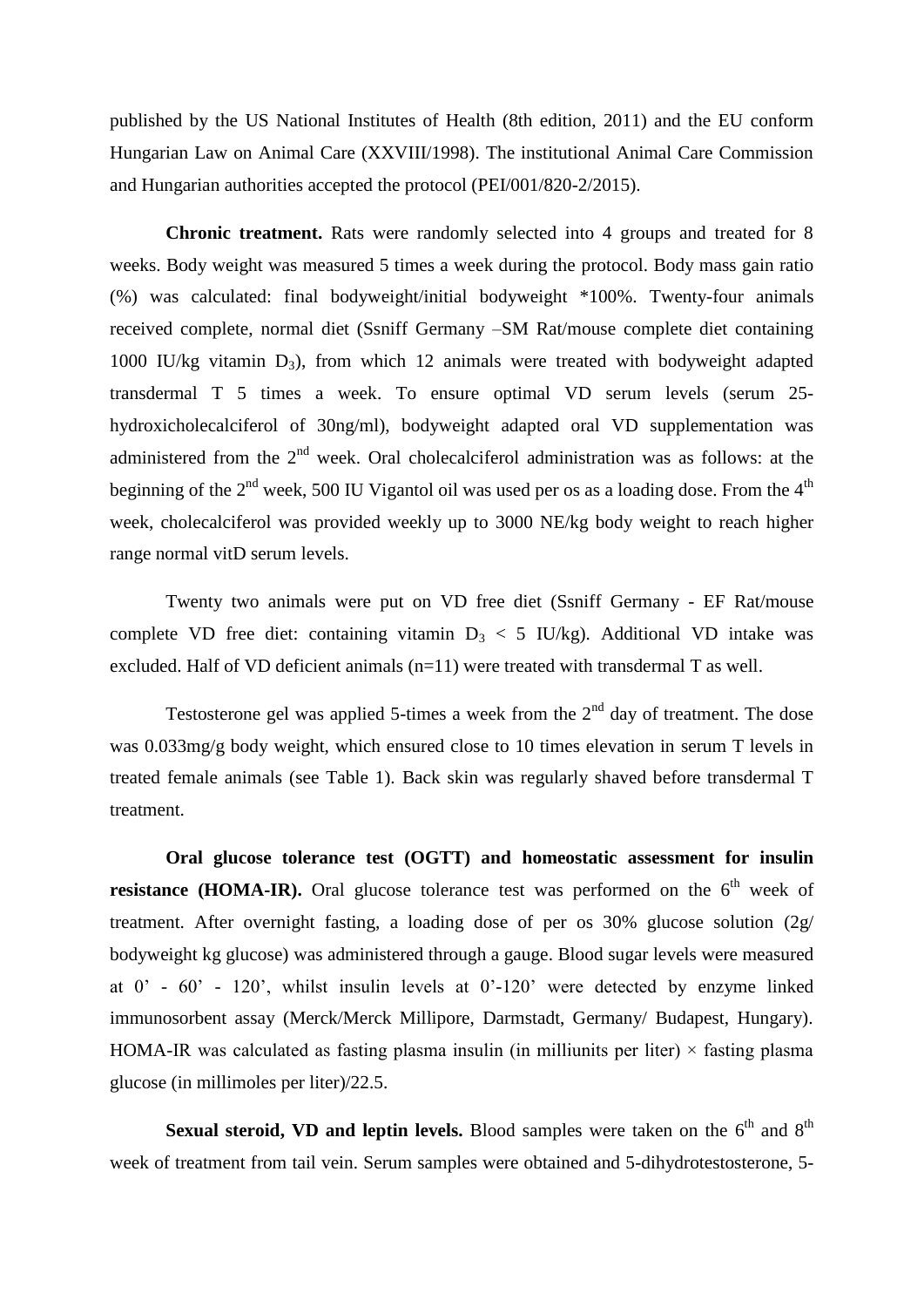published by the US National Institutes of Health (8th edition, 2011) and the EU conform Hungarian Law on Animal Care (XXVIII/1998). The institutional Animal Care Commission and Hungarian authorities accepted the protocol (PEI/001/820-2/2015).

**Chronic treatment.** Rats were randomly selected into 4 groups and treated for 8 weeks. Body weight was measured 5 times a week during the protocol. Body mass gain ratio (%) was calculated: final bodyweight/initial bodyweight \*100%. Twenty-four animals received complete, normal diet (Ssniff Germany –SM Rat/mouse complete diet containing 1000 IU/kg vitamin  $D_3$ ), from which 12 animals were treated with bodyweight adapted transdermal T 5 times a week. To ensure optimal VD serum levels (serum 25 hydroxicholecalciferol of 30ng/ml), bodyweight adapted oral VD supplementation was administered from the  $2<sup>nd</sup>$  week. Oral cholecalciferol administration was as follows: at the beginning of the  $2<sup>nd</sup>$  week, 500 IU Vigantol oil was used per os as a loading dose. From the 4<sup>th</sup> week, cholecalciferol was provided weekly up to 3000 NE/kg body weight to reach higher range normal vitD serum levels.

Twenty two animals were put on VD free diet (Ssniff Germany - EF Rat/mouse complete VD free diet: containing vitamin  $D_3 < 5$  IU/kg). Additional VD intake was excluded. Half of VD deficient animals (n=11) were treated with transdermal T as well.

Testosterone gel was applied 5-times a week from the  $2<sup>nd</sup>$  day of treatment. The dose was 0.033mg/g body weight, which ensured close to 10 times elevation in serum T levels in treated female animals (see Table 1). Back skin was regularly shaved before transdermal T treatment.

**Oral glucose tolerance test (OGTT) and homeostatic assessment for insulin resistance (HOMA-IR).** Oral glucose tolerance test was performed on the  $6<sup>th</sup>$  week of treatment. After overnight fasting, a loading dose of per os 30% glucose solution (2g/ bodyweight kg glucose) was administered through a gauge. Blood sugar levels were measured at 0' - 60' - 120', whilst insulin levels at 0'-120' were detected by enzyme linked immunosorbent assay (Merck/Merck Millipore, Darmstadt, Germany/ Budapest, Hungary). HOMA-IR was calculated as fasting plasma insulin (in milliunits per liter)  $\times$  fasting plasma glucose (in millimoles per liter)/22.5.

**Sexual steroid, VD and leptin levels.** Blood samples were taken on the  $6<sup>th</sup>$  and  $8<sup>th</sup>$ week of treatment from tail vein. Serum samples were obtained and 5-dihydrotestosterone, 5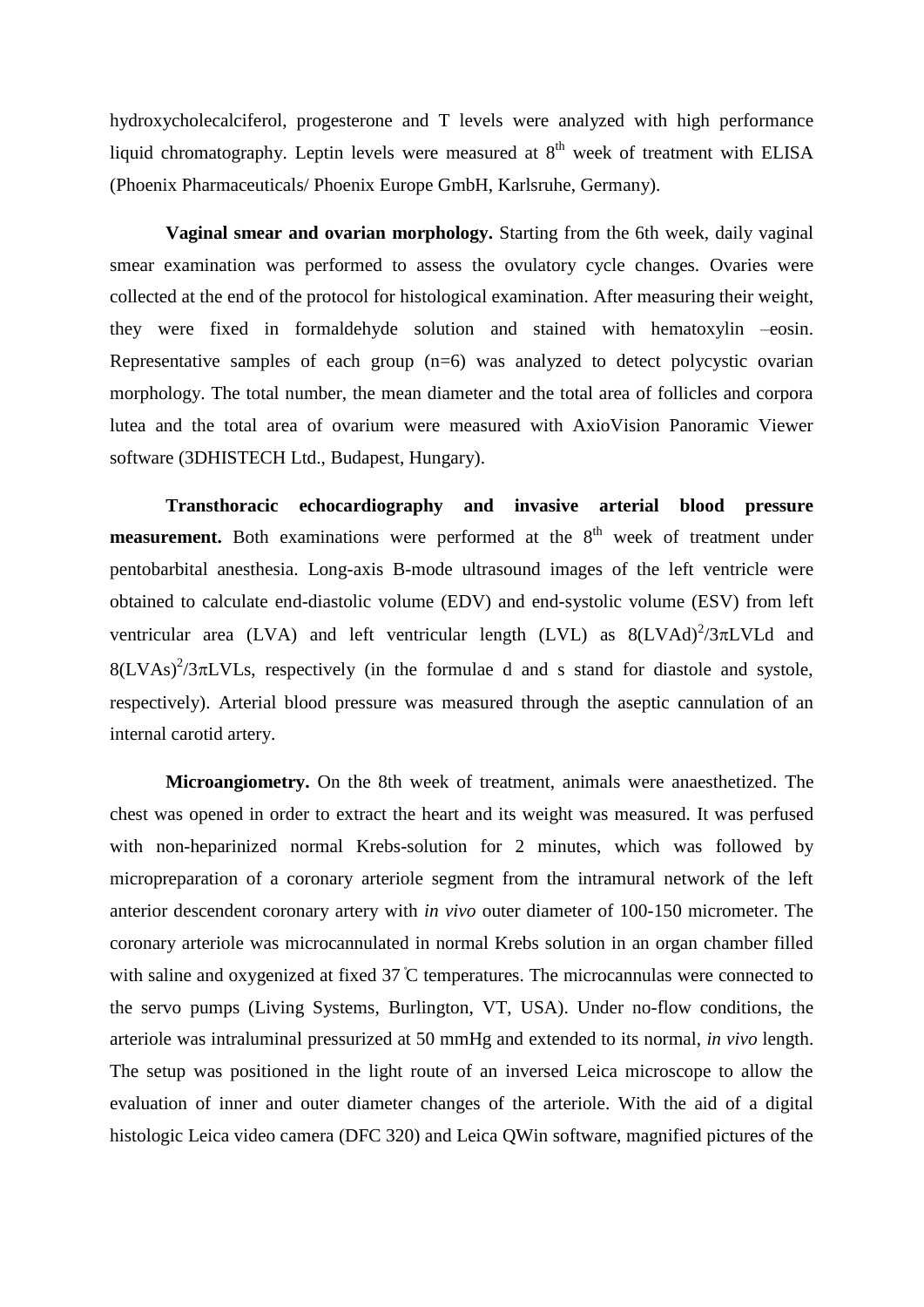hydroxycholecalciferol, progesterone and T levels were analyzed with high performance liquid chromatography. Leptin levels were measured at  $8<sup>th</sup>$  week of treatment with ELISA (Phoenix Pharmaceuticals/ Phoenix Europe GmbH, Karlsruhe, Germany).

**Vaginal smear and ovarian morphology.** Starting from the 6th week, daily vaginal smear examination was performed to assess the ovulatory cycle changes. Ovaries were collected at the end of the protocol for histological examination. After measuring their weight, they were fixed in formaldehyde solution and stained with hematoxylin –eosin. Representative samples of each group  $(n=6)$  was analyzed to detect polycystic ovarian morphology. The total number, the mean diameter and the total area of follicles and corpora lutea and the total area of ovarium were measured with AxioVision Panoramic Viewer software (3DHISTECH Ltd., Budapest, Hungary).

**Transthoracic echocardiography and invasive arterial blood pressure measurement.** Both examinations were performed at the 8<sup>th</sup> week of treatment under pentobarbital anesthesia. Long-axis B-mode ultrasound images of the left ventricle were obtained to calculate end-diastolic volume (EDV) and end-systolic volume (ESV) from left ventricular area (LVA) and left ventricular length (LVL) as  $8(LVAd)^2/3\pi LVLd$  and  $8(LVAs)^{2}/3\pi LVIs$ , respectively (in the formulae d and s stand for diastole and systole, respectively). Arterial blood pressure was measured through the aseptic cannulation of an internal carotid artery.

**Microangiometry.** On the 8th week of treatment, animals were anaesthetized. The chest was opened in order to extract the heart and its weight was measured. It was perfused with non-heparinized normal Krebs-solution for 2 minutes, which was followed by micropreparation of a coronary arteriole segment from the intramural network of the left anterior descendent coronary artery with *in vivo* outer diameter of 100-150 micrometer. The coronary arteriole was microcannulated in normal Krebs solution in an organ chamber filled with saline and oxygenized at fixed  $37^{\circ}$ C temperatures. The microcannulas were connected to the servo pumps (Living Systems, Burlington, VT, USA). Under no-flow conditions, the arteriole was intraluminal pressurized at 50 mmHg and extended to its normal, *in vivo* length. The setup was positioned in the light route of an inversed Leica microscope to allow the evaluation of inner and outer diameter changes of the arteriole. With the aid of a digital histologic Leica video camera (DFC 320) and Leica QWin software, magnified pictures of the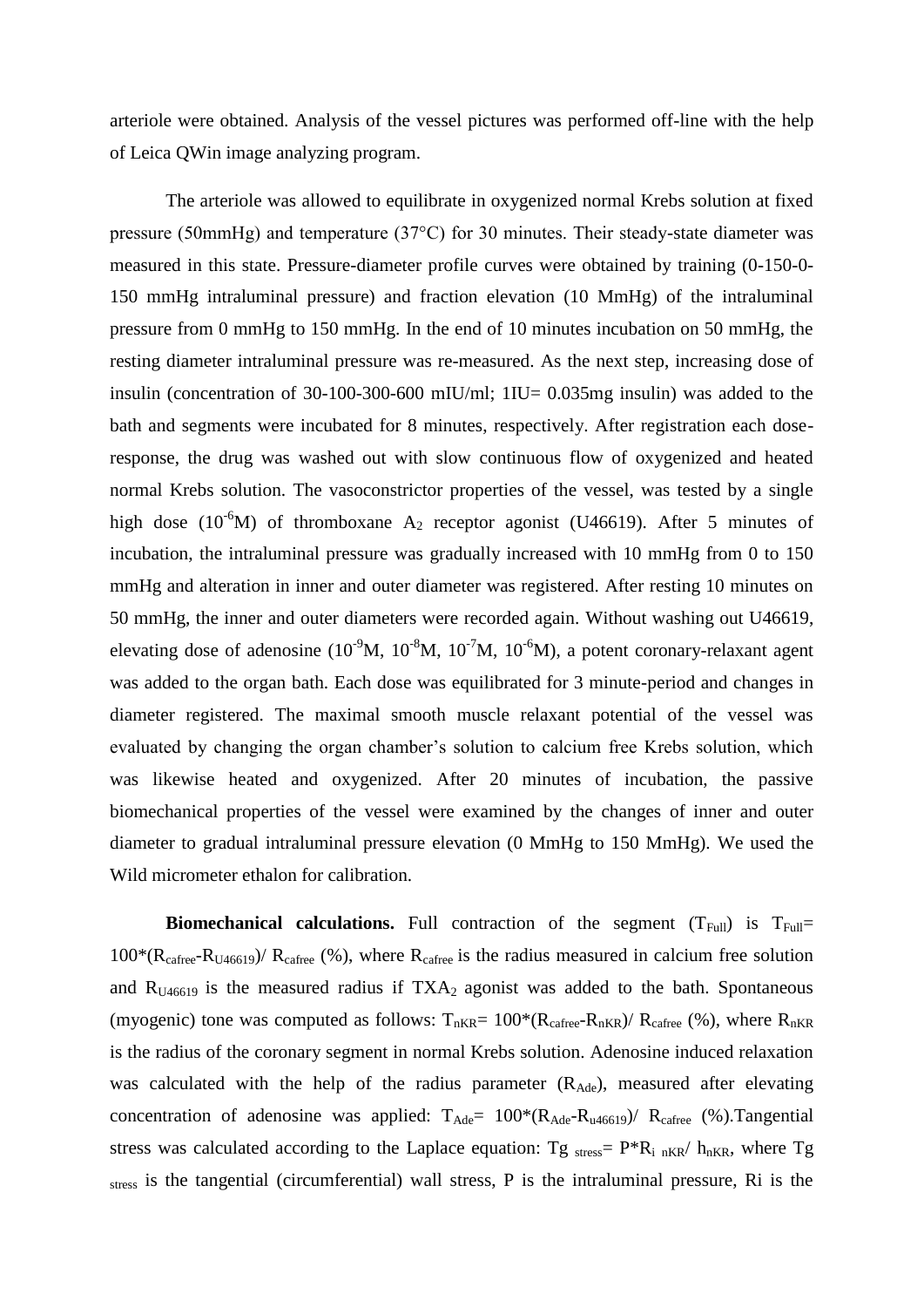arteriole were obtained. Analysis of the vessel pictures was performed off-line with the help of Leica QWin image analyzing program.

The arteriole was allowed to equilibrate in oxygenized normal Krebs solution at fixed pressure (50mmHg) and temperature (37°C) for 30 minutes. Their steady-state diameter was measured in this state. Pressure-diameter profile curves were obtained by training (0-150-0- 150 mmHg intraluminal pressure) and fraction elevation (10 MmHg) of the intraluminal pressure from 0 mmHg to 150 mmHg. In the end of 10 minutes incubation on 50 mmHg, the resting diameter intraluminal pressure was re-measured. As the next step, increasing dose of insulin (concentration of 30-100-300-600 mIU/ml; 1IU= 0.035mg insulin) was added to the bath and segments were incubated for 8 minutes, respectively. After registration each doseresponse, the drug was washed out with slow continuous flow of oxygenized and heated normal Krebs solution. The vasoconstrictor properties of the vessel, was tested by a single high dose (10<sup>-6</sup>M) of thromboxane A<sub>2</sub> receptor agonist (U46619). After 5 minutes of incubation, the intraluminal pressure was gradually increased with 10 mmHg from 0 to 150 mmHg and alteration in inner and outer diameter was registered. After resting 10 minutes on 50 mmHg, the inner and outer diameters were recorded again. Without washing out U46619, elevating dose of adenosine  $(10^{-9}M, 10^{-8}M, 10^{-7}M, 10^{-6}M)$ , a potent coronary-relaxant agent was added to the organ bath. Each dose was equilibrated for 3 minute-period and changes in diameter registered. The maximal smooth muscle relaxant potential of the vessel was evaluated by changing the organ chamber's solution to calcium free Krebs solution, which was likewise heated and oxygenized. After 20 minutes of incubation, the passive biomechanical properties of the vessel were examined by the changes of inner and outer diameter to gradual intraluminal pressure elevation (0 MmHg to 150 MmHg). We used the Wild micrometer ethalon for calibration.

**Biomechanical calculations.** Full contraction of the segment  $(T_{Full})$  is  $T_{Full}$  $100*(R_{\text{cafree}}-R_{\text{U46619}})/R_{\text{cafree}}$  (%), where  $R_{\text{cafree}}$  is the radius measured in calcium free solution and  $R_{U46619}$  is the measured radius if  $TXA_2$  agonist was added to the bath. Spontaneous (myogenic) tone was computed as follows:  $T_{nKR} = 100*(R_{\text{cafree}} - R_{nKR})/ R_{\text{cafree}}$  (%), where  $R_{nKR}$ is the radius of the coronary segment in normal Krebs solution. Adenosine induced relaxation was calculated with the help of the radius parameter  $(R_{\text{Ade}})$ , measured after elevating concentration of adenosine was applied:  $T_{\text{Ade}} = 100*(R_{\text{Ade}}-R_{\text{u46619}})/R_{\text{cafree}}$  (%). Tangential stress was calculated according to the Laplace equation: Tg  $_{stress} = P^*R_i_{nKR}/h_{nKR}$ , where Tg stress is the tangential (circumferential) wall stress, P is the intraluminal pressure, Ri is the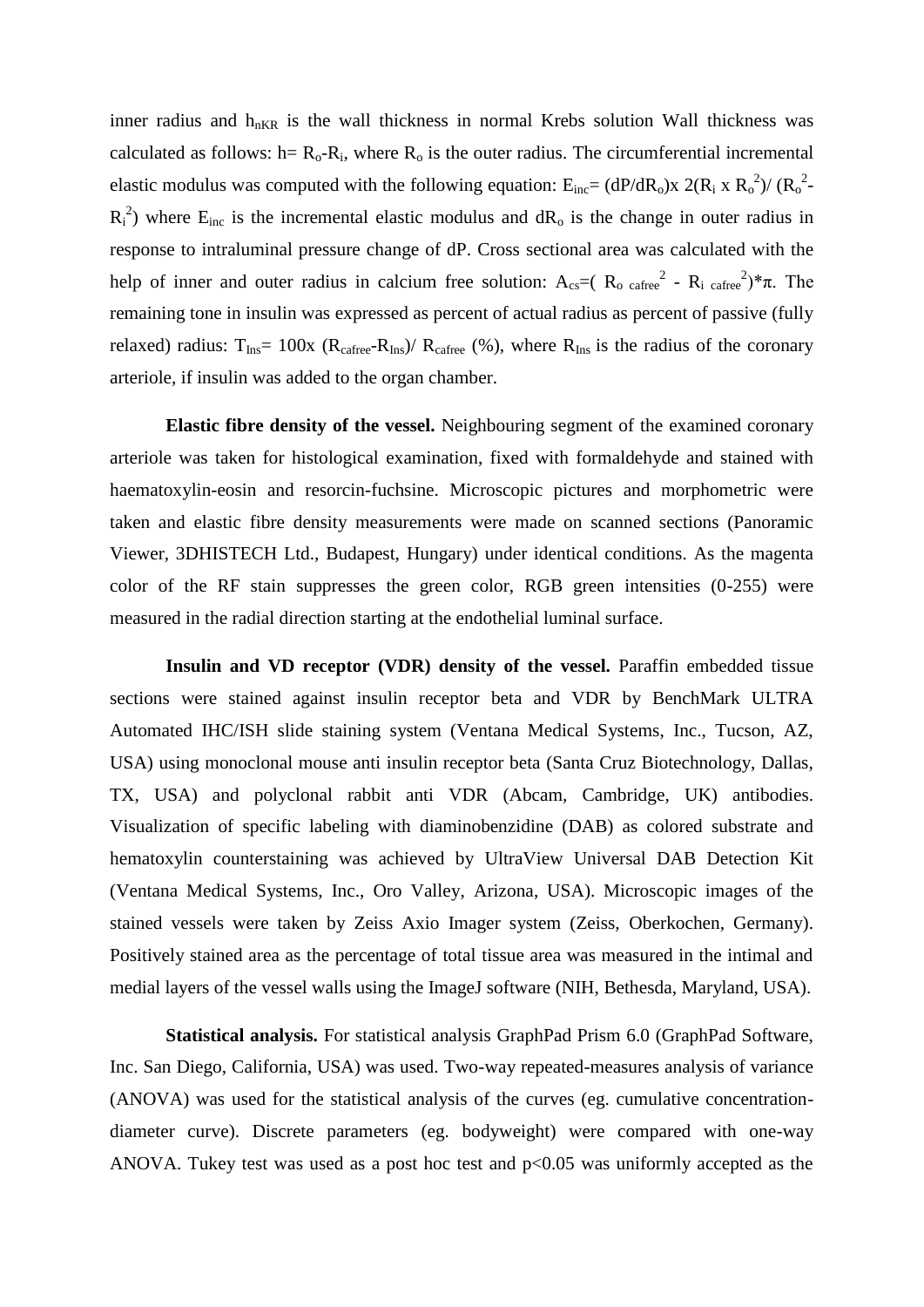inner radius and  $h_{nKR}$  is the wall thickness in normal Krebs solution Wall thickness was calculated as follows:  $h = R_0 - R_i$ , where  $R_0$  is the outer radius. The circumferential incremental elastic modulus was computed with the following equation:  $E_{inc} = (dP/dR_0)x \ 2(R_i x R_0^2)/(R_0^2 R_i^2$ ) where  $E_{inc}$  is the incremental elastic modulus and  $dR_o$  is the change in outer radius in response to intraluminal pressure change of dP. Cross sectional area was calculated with the help of inner and outer radius in calcium free solution:  $A_{cs} = (R_0 \text{ car}^{-2} - R_1 \text{ car}^{-2})^* \pi$ . The remaining tone in insulin was expressed as percent of actual radius as percent of passive (fully relaxed) radius:  $T_{Ins} = 100x$  ( $R_{cafree} - R_{Ins}$ )/  $R_{cafree}$  (%), where  $R_{Ins}$  is the radius of the coronary arteriole, if insulin was added to the organ chamber.

**Elastic fibre density of the vessel.** Neighbouring segment of the examined coronary arteriole was taken for histological examination, fixed with formaldehyde and stained with haematoxylin-eosin and resorcin-fuchsine. Microscopic pictures and morphometric were taken and elastic fibre density measurements were made on scanned sections (Panoramic Viewer, 3DHISTECH Ltd., Budapest, Hungary) under identical conditions. As the magenta color of the RF stain suppresses the green color, RGB green intensities (0-255) were measured in the radial direction starting at the endothelial luminal surface.

**Insulin and VD receptor (VDR) density of the vessel.** Paraffin embedded tissue sections were stained against insulin receptor beta and VDR by BenchMark ULTRA Automated IHC/ISH slide staining system (Ventana Medical Systems, Inc., Tucson, AZ, USA) using monoclonal mouse anti insulin receptor beta (Santa Cruz Biotechnology, Dallas, TX, USA) and polyclonal rabbit anti VDR (Abcam, Cambridge, UK) antibodies. Visualization of specific labeling with diaminobenzidine (DAB) as colored substrate and hematoxylin counterstaining was achieved by UltraView Universal DAB Detection Kit (Ventana Medical Systems, Inc., [Oro Valley, Arizona,](https://www.google.com/search?client=firefox-b-d&sxsrf=ACYBGNTuyLtbesYP_S-p5dM8tS9-PW-nMA:1580074515684&q=Oro+Valley&stick=H4sIAAAAAAAAAOPgE-LSz9U3ME6pKk82VgKzDatMi83KtbSyk63084vSE_MyqxJLMvPzUDhWGamJKYWliUUlqUXFi1i5_IvyFcISc3JSK3ewMgIAQUMBjVYAAAA&sa=X&ved=2ahUKEwj4guehnKLnAhXLPFAKHSmRA28QmxMoATANegQIDxAE) USA). Microscopic images of the stained vessels were taken by Zeiss Axio Imager system (Zeiss, Oberkochen, Germany). Positively stained area as the percentage of total tissue area was measured in the intimal and medial layers of the vessel walls using the ImageJ software (NIH, Bethesda, Maryland, USA).

**Statistical analysis.** For statistical analysis GraphPad Prism 6.0 (GraphPad Software, Inc. San Diego, California, USA) was used. Two-way repeated-measures analysis of variance (ANOVA) was used for the statistical analysis of the curves (eg. cumulative concentrationdiameter curve). Discrete parameters (eg. bodyweight) were compared with one-way ANOVA. Tukey test was used as a post hoc test and p<0.05 was uniformly accepted as the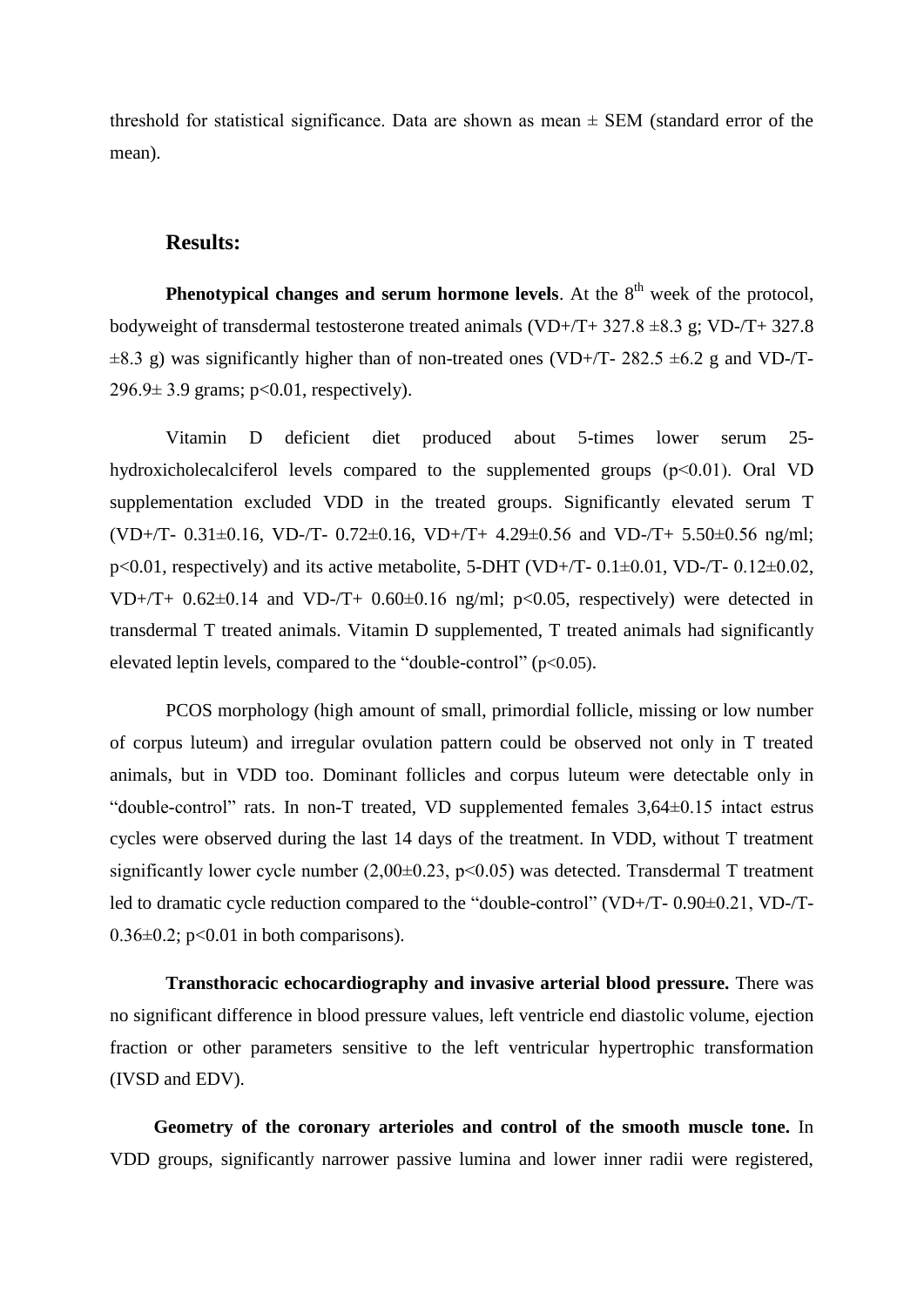threshold for statistical significance. Data are shown as mean  $\pm$  SEM (standard error of the mean).

#### **Results:**

**Phenotypical changes and serum hormone levels**. At the  $8<sup>th</sup>$  week of the protocol, bodyweight of transdermal testosterone treated animals (VD+/T+  $327.8 \pm 8.3$  g; VD-/T+  $327.8$  $\pm 8.3$  g) was significantly higher than of non-treated ones (VD+/T- 282.5  $\pm 6.2$  g and VD-/T-296.9± 3.9 grams; p<0.01, respectively).

Vitamin D deficient diet produced about 5-times lower serum 25 hydroxicholecalciferol levels compared to the supplemented groups (p<0.01). Oral VD supplementation excluded VDD in the treated groups. Significantly elevated serum T (VD+/T- 0.31±0.16, VD-/T- 0.72±0.16, VD+/T+ 4.29±0.56 and VD-/T+ 5.50±0.56 ng/ml;  $p<0.01$ , respectively) and its active metabolite, 5-DHT (VD+/T- 0.1 $\pm$ 0.01, VD-/T- 0.12 $\pm$ 0.02, VD+/T+  $0.62\pm0.14$  and VD-/T+  $0.60\pm0.16$  ng/ml; p<0.05, respectively) were detected in transdermal T treated animals. Vitamin D supplemented, T treated animals had significantly elevated leptin levels, compared to the "double-control" (p<0.05).

PCOS morphology (high amount of small, primordial follicle, missing or low number of corpus luteum) and irregular ovulation pattern could be observed not only in T treated animals, but in VDD too. Dominant follicles and corpus luteum were detectable only in "double-control" rats. In non-T treated, VD supplemented females 3,64±0.15 intact estrus cycles were observed during the last 14 days of the treatment. In VDD, without T treatment significantly lower cycle number  $(2,00\pm0.23, p<0.05)$  was detected. Transdermal T treatment led to dramatic cycle reduction compared to the "double-control" (VD+/T- 0.90 $\pm$ 0.21, VD-/T- $0.36\pm0.2$ ; p<0.01 in both comparisons).

**Transthoracic echocardiography and invasive arterial blood pressure.** There was no significant difference in blood pressure values, left ventricle end diastolic volume, ejection fraction or other parameters sensitive to the left ventricular hypertrophic transformation (IVSD and EDV).

**Geometry of the coronary arterioles and control of the smooth muscle tone.** In VDD groups, significantly narrower passive lumina and lower inner radii were registered,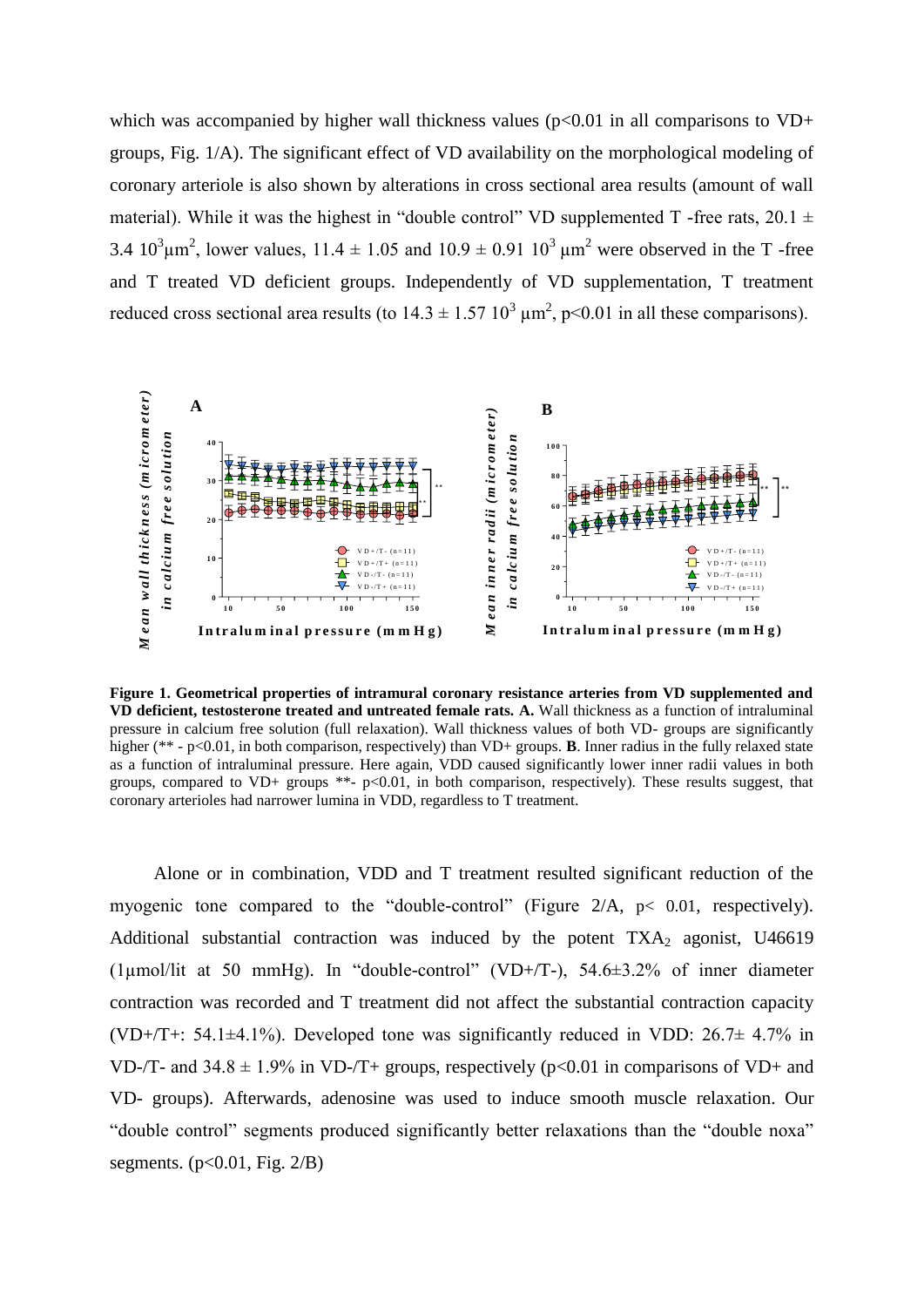which was accompanied by higher wall thickness values ( $p<0.01$  in all comparisons to VD+ groups, Fig. 1/A). The significant effect of VD availability on the morphological modeling of coronary arteriole is also shown by alterations in cross sectional area results (amount of wall material). While it was the highest in "double control" VD supplemented T -free rats,  $20.1 \pm$ 3.4  $10^3 \mu m^2$ , lower values,  $11.4 \pm 1.05$  and  $10.9 \pm 0.91$   $10^3 \mu m^2$  were observed in the T-free and T treated VD deficient groups. Independently of VD supplementation, T treatment reduced cross sectional area results (to  $14.3 \pm 1.57$   $10^3$   $\mu$ m<sup>2</sup>, p<0.01 in all these comparisons).



**Figure 1. Geometrical properties of intramural coronary resistance arteries from VD supplemented and VD deficient, testosterone treated and untreated female rats. A.** Wall thickness as a function of intraluminal pressure in calcium free solution (full relaxation). Wall thickness values of both VD- groups are significantly higher (\*\* - p<0.01, in both comparison, respectively) than VD+ groups. **B**. Inner radius in the fully relaxed state as a function of intraluminal pressure. Here again, VDD caused significantly lower inner radii values in both groups, compared to VD+ groups  $**$ - p<0.01, in both comparison, respectively). These results suggest, that coronary arterioles had narrower lumina in VDD, regardless to T treatment.

Alone or in combination, VDD and T treatment resulted significant reduction of the myogenic tone compared to the "double-control" (Figure 2/A,  $p < 0.01$ , respectively). Additional substantial contraction was induced by the potent  $TXA<sub>2</sub>$  agonist, U46619 (1µmol/lit at 50 mmHg). In "double-control" (VD+/T-), 54.6±3.2% of inner diameter contraction was recorded and T treatment did not affect the substantial contraction capacity (VD+/T+: 54.1 $\pm$ 4.1%). Developed tone was significantly reduced in VDD: 26.7 $\pm$  4.7% in VD-/T- and  $34.8 \pm 1.9\%$  in VD-/T+ groups, respectively (p<0.01 in comparisons of VD+ and VD- groups). Afterwards, adenosine was used to induce smooth muscle relaxation. Our "double control" segments produced significantly better relaxations than the "double noxa" segments.  $(p<0.01, Fig. 2/B)$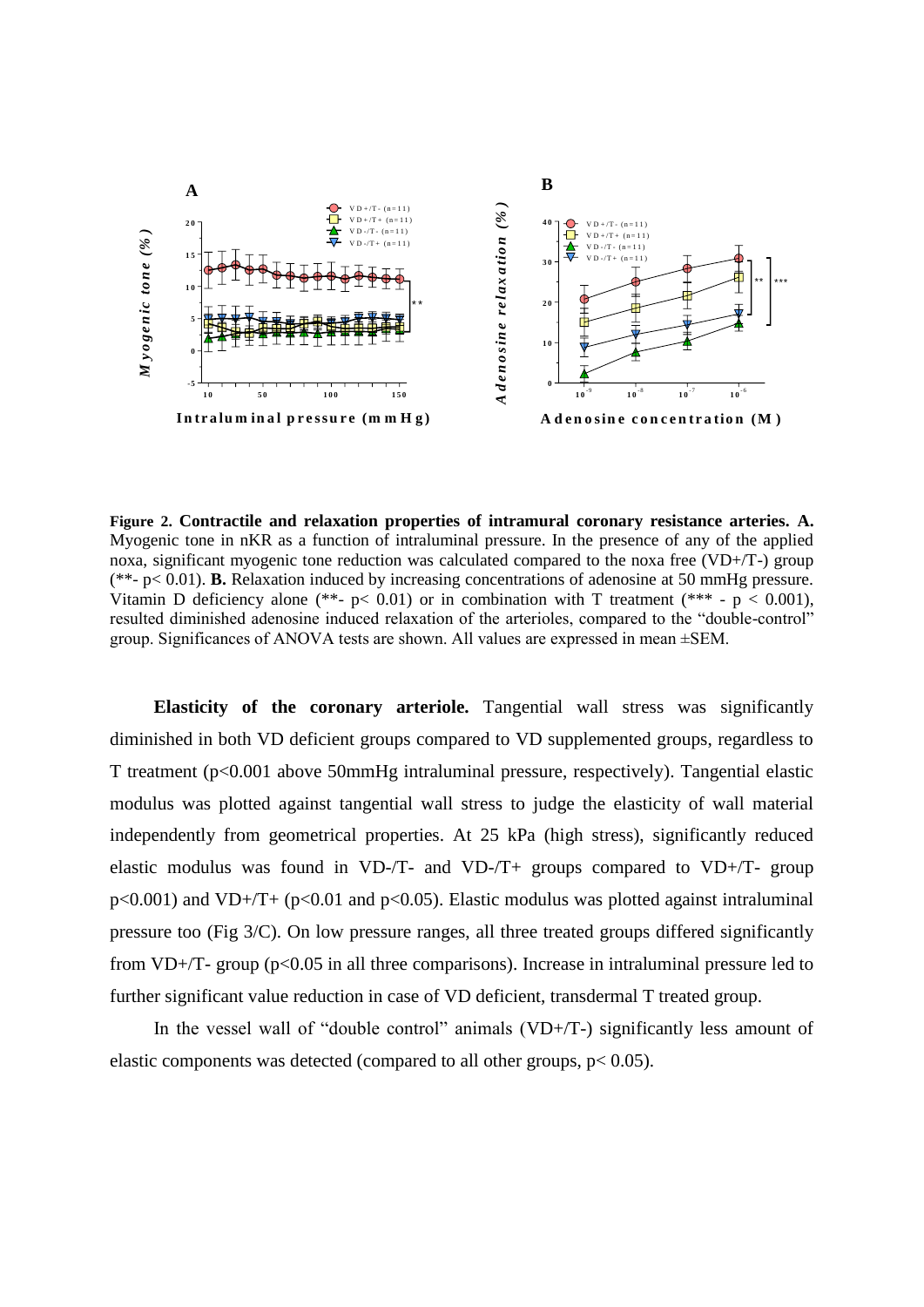

**Figure 2. Contractile and relaxation properties of intramural coronary resistance arteries. A.** Myogenic tone in nKR as a function of intraluminal pressure. In the presence of any of the applied noxa, significant myogenic tone reduction was calculated compared to the noxa free (VD+/T-) group (\*\*- p< 0.01). **B.** Relaxation induced by increasing concentrations of adenosine at 50 mmHg pressure. Vitamin D deficiency alone (\*\*-  $p$  < 0.01) or in combination with T treatment (\*\*\* -  $p$  < 0.001), resulted diminished adenosine induced relaxation of the arterioles, compared to the "double-control" group. Significances of ANOVA tests are shown. All values are expressed in mean ±SEM.

**Elasticity of the coronary arteriole.** Tangential wall stress was significantly diminished in both VD deficient groups compared to VD supplemented groups, regardless to T treatment (p<0.001 above 50mmHg intraluminal pressure, respectively). Tangential elastic modulus was plotted against tangential wall stress to judge the elasticity of wall material independently from geometrical properties. At 25 kPa (high stress), significantly reduced elastic modulus was found in VD-/T- and VD-/T+ groups compared to VD+/T- group  $p<0.001$ ) and VD+/T+ ( $p<0.01$  and  $p<0.05$ ). Elastic modulus was plotted against intraluminal pressure too (Fig  $3/C$ ). On low pressure ranges, all three treated groups differed significantly from VD+/T- group (p<0.05 in all three comparisons). Increase in intraluminal pressure led to further significant value reduction in case of VD deficient, transdermal T treated group.

In the vessel wall of "double control" animals (VD+/T-) significantly less amount of elastic components was detected (compared to all other groups,  $p < 0.05$ ).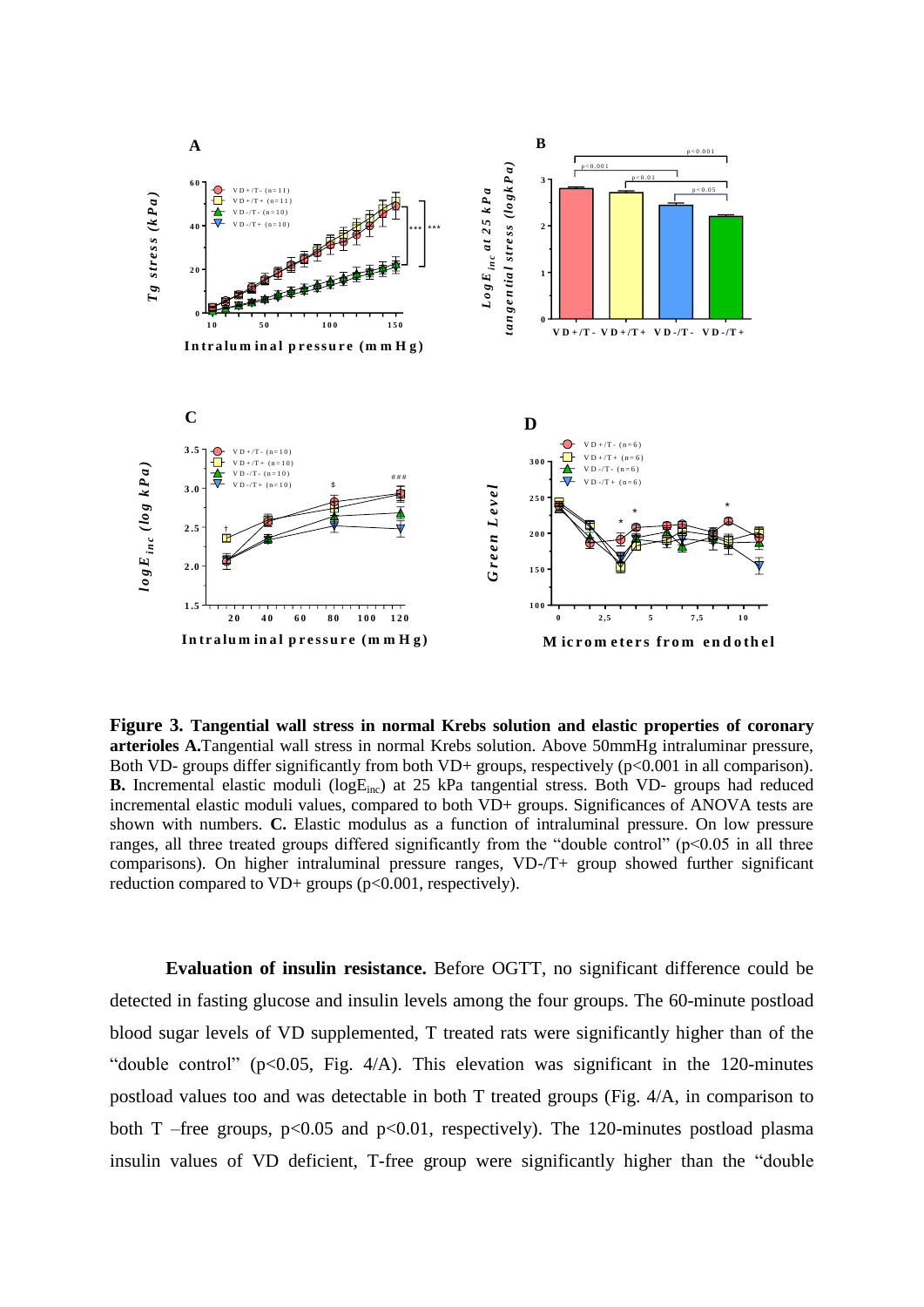

**Figure 3. Tangential wall stress in normal Krebs solution and elastic properties of coronary arterioles A.**Tangential wall stress in normal Krebs solution. Above 50mmHg intraluminar pressure, Both VD- groups differ significantly from both VD+ groups, respectively  $(p<0.001$  in all comparison). **B.** Incremental elastic moduli (logE<sub>inc</sub>) at 25 kPa tangential stress. Both VD- groups had reduced incremental elastic moduli values, compared to both VD+ groups. Significances of ANOVA tests are shown with numbers. **C.** Elastic modulus as a function of intraluminal pressure. On low pressure ranges, all three treated groups differed significantly from the "double control" ( $p<0.05$  in all three comparisons). On higher intraluminal pressure ranges, VD-/T+ group showed further significant reduction compared to VD+ groups (p<0.001, respectively).

**Evaluation of insulin resistance.** Before OGTT, no significant difference could be detected in fasting glucose and insulin levels among the four groups. The 60-minute postload blood sugar levels of VD supplemented, T treated rats were significantly higher than of the "double control" ( $p<0.05$ , Fig.  $4/A$ ). This elevation was significant in the 120-minutes postload values too and was detectable in both T treated groups (Fig. 4/A, in comparison to both T –free groups,  $p<0.05$  and  $p<0.01$ , respectively). The 120-minutes postload plasma insulin values of VD deficient, T-free group were significantly higher than the "double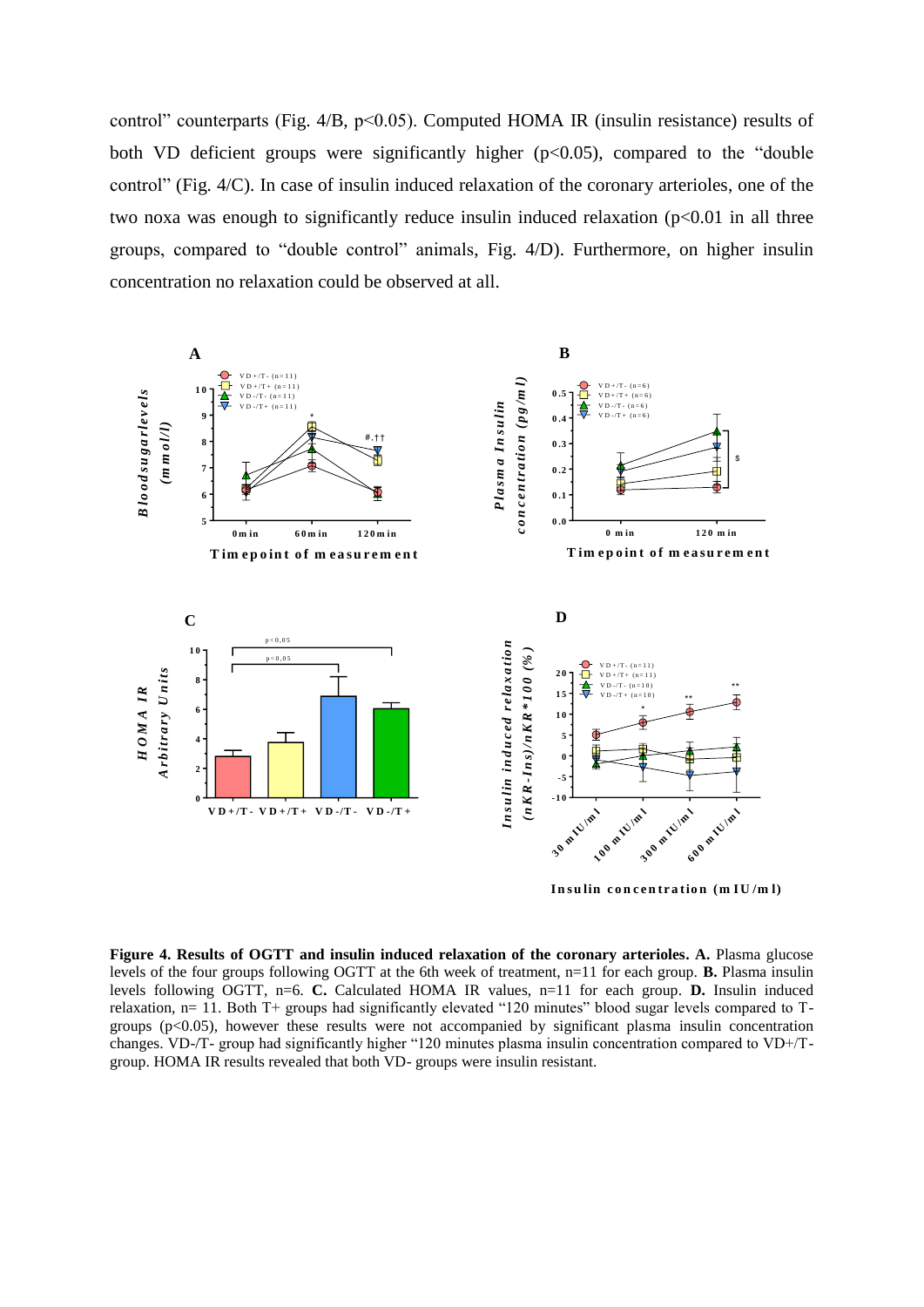control" counterparts (Fig. 4/B, p˂0.05). Computed HOMA IR (insulin resistance) results of both VD deficient groups were significantly higher  $(p<0.05)$ , compared to the "double" control" (Fig. 4/C). In case of insulin induced relaxation of the coronary arterioles, one of the two noxa was enough to significantly reduce insulin induced relaxation  $(p<0.01$  in all three groups, compared to "double control" animals, Fig. 4/D). Furthermore, on higher insulin concentration no relaxation could be observed at all.



**In su lin <sup>c</sup> <sup>o</sup> <sup>n</sup> <sup>c</sup> <sup>e</sup> <sup>n</sup> tr <sup>a</sup> tio <sup>n</sup> (m IU /m l)**

**Figure 4. Results of OGTT and insulin induced relaxation of the coronary arterioles. A.** Plasma glucose levels of the four groups following OGTT at the 6th week of treatment, n=11 for each group. **B.** Plasma insulin levels following OGTT, n=6. **C.** Calculated HOMA IR values, n=11 for each group. **D.** Insulin induced relaxation, n= 11. Both T+ groups had significantly elevated "120 minutes" blood sugar levels compared to Tgroups (p<0.05), however these results were not accompanied by significant plasma insulin concentration changes. VD-/T- group had significantly higher "120 minutes plasma insulin concentration compared to VD+/Tgroup. HOMA IR results revealed that both VD- groups were insulin resistant.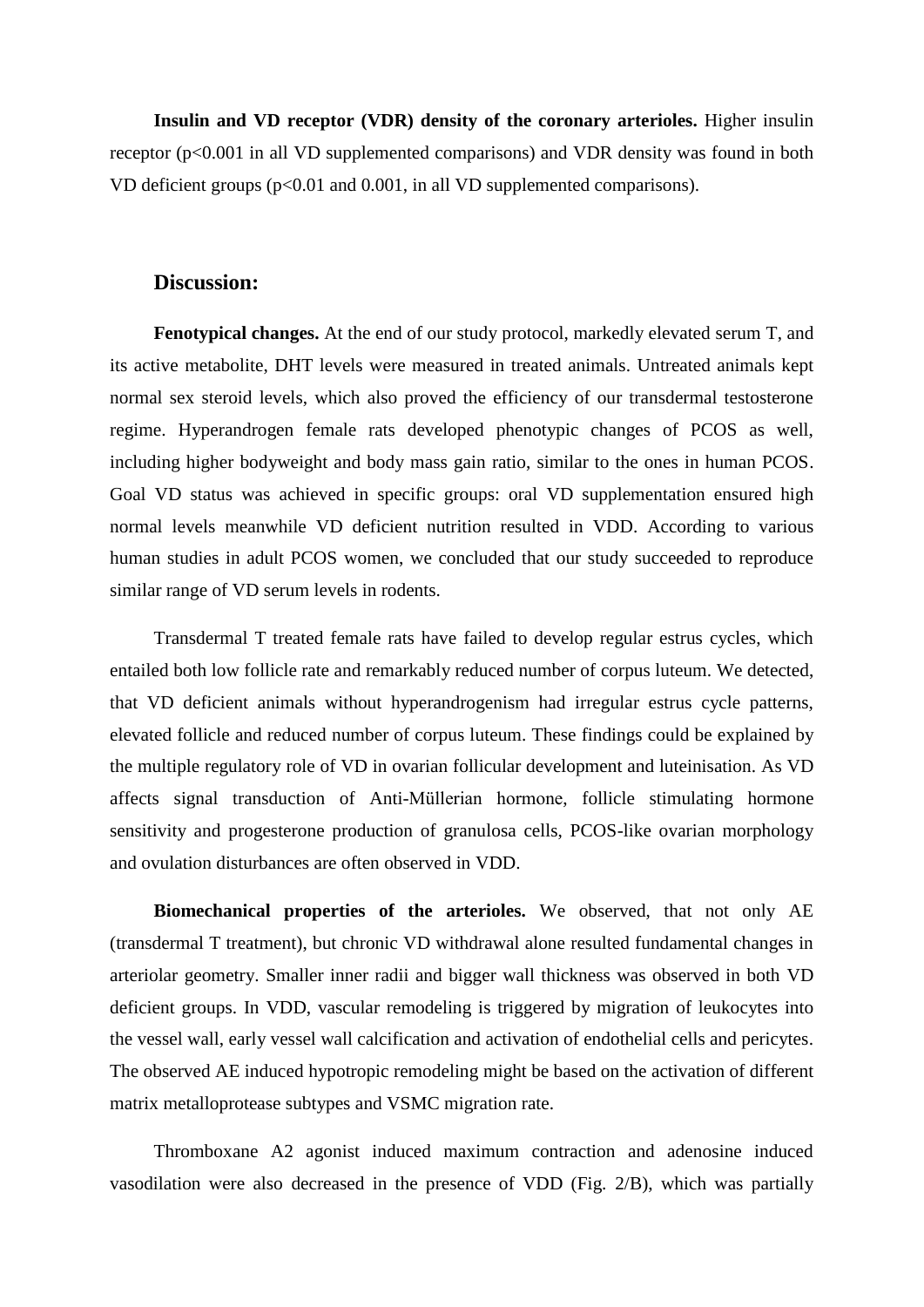**Insulin and VD receptor (VDR) density of the coronary arterioles.** Higher insulin receptor (p<0.001 in all VD supplemented comparisons) and VDR density was found in both VD deficient groups  $(p<0.01$  and  $0.001$ , in all VD supplemented comparisons).

#### **Discussion:**

**Fenotypical changes.** At the end of our study protocol, markedly elevated serum T, and its active metabolite, DHT levels were measured in treated animals. Untreated animals kept normal sex steroid levels, which also proved the efficiency of our transdermal testosterone regime. Hyperandrogen female rats developed phenotypic changes of PCOS as well, including higher bodyweight and body mass gain ratio, similar to the ones in human PCOS. Goal VD status was achieved in specific groups: oral VD supplementation ensured high normal levels meanwhile VD deficient nutrition resulted in VDD. According to various human studies in adult PCOS women, we concluded that our study succeeded to reproduce similar range of VD serum levels in rodents.

Transdermal T treated female rats have failed to develop regular estrus cycles, which entailed both low follicle rate and remarkably reduced number of corpus luteum. We detected, that VD deficient animals without hyperandrogenism had irregular estrus cycle patterns, elevated follicle and reduced number of corpus luteum. These findings could be explained by the multiple regulatory role of VD in ovarian follicular development and luteinisation. As VD affects signal transduction of Anti-Müllerian hormone, follicle stimulating hormone sensitivity and progesterone production of granulosa cells, PCOS-like ovarian morphology and ovulation disturbances are often observed in VDD.

**Biomechanical properties of the arterioles.** We observed, that not only AE (transdermal T treatment), but chronic VD withdrawal alone resulted fundamental changes in arteriolar geometry. Smaller inner radii and bigger wall thickness was observed in both VD deficient groups. In VDD, vascular remodeling is triggered by migration of leukocytes into the vessel wall, early vessel wall calcification and activation of endothelial cells and pericytes. The observed AE induced hypotropic remodeling might be based on the activation of different matrix metalloprotease subtypes and VSMC migration rate.

Thromboxane A2 agonist induced maximum contraction and adenosine induced vasodilation were also decreased in the presence of VDD (Fig. 2/B), which was partially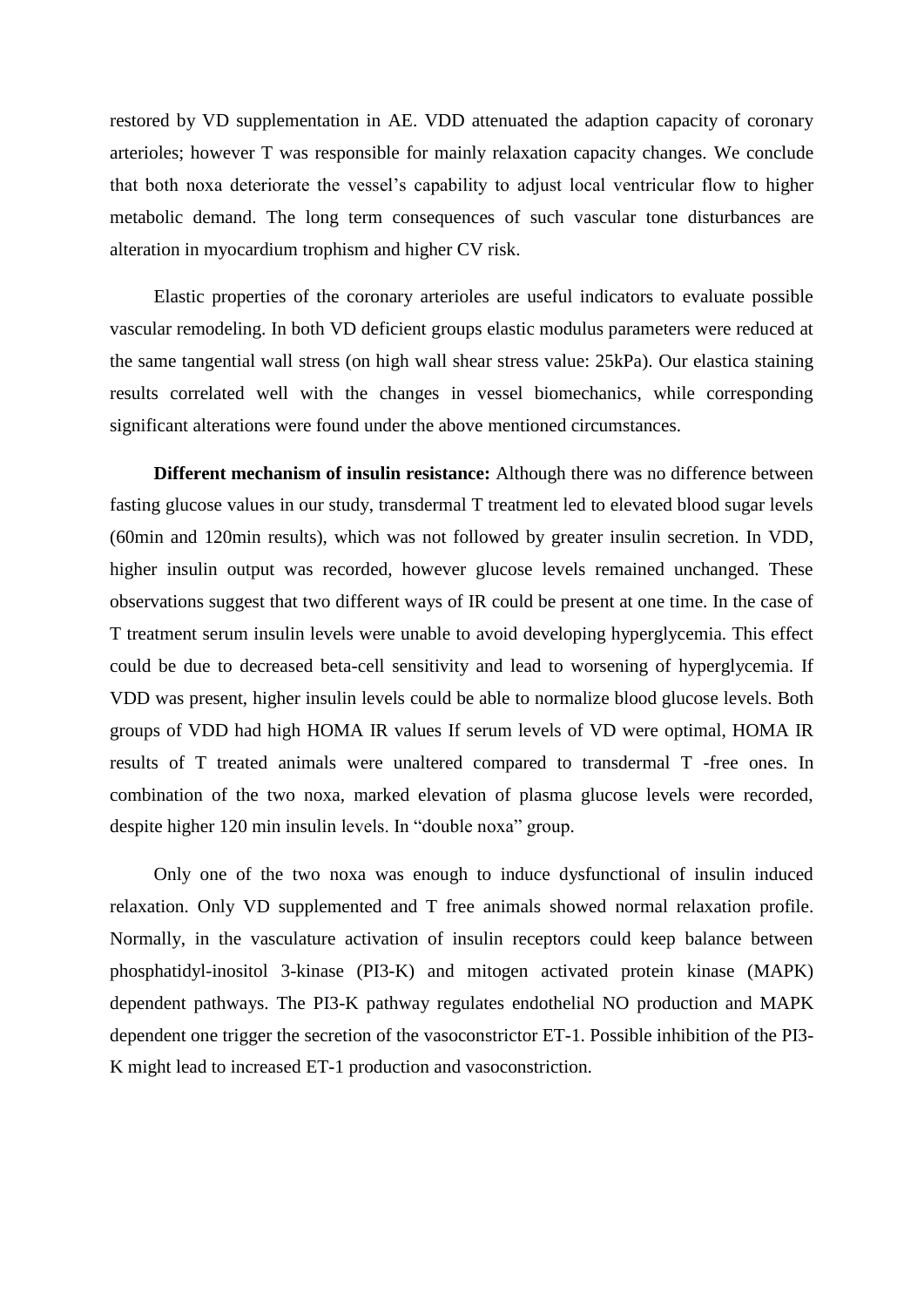restored by VD supplementation in AE. VDD attenuated the adaption capacity of coronary arterioles; however T was responsible for mainly relaxation capacity changes. We conclude that both noxa deteriorate the vessel's capability to adjust local ventricular flow to higher metabolic demand. The long term consequences of such vascular tone disturbances are alteration in myocardium trophism and higher CV risk.

Elastic properties of the coronary arterioles are useful indicators to evaluate possible vascular remodeling. In both VD deficient groups elastic modulus parameters were reduced at the same tangential wall stress (on high wall shear stress value: 25kPa). Our elastica staining results correlated well with the changes in vessel biomechanics, while corresponding significant alterations were found under the above mentioned circumstances.

**Different mechanism of insulin resistance:** Although there was no difference between fasting glucose values in our study, transdermal T treatment led to elevated blood sugar levels (60min and 120min results), which was not followed by greater insulin secretion. In VDD, higher insulin output was recorded, however glucose levels remained unchanged. These observations suggest that two different ways of IR could be present at one time. In the case of T treatment serum insulin levels were unable to avoid developing hyperglycemia. This effect could be due to decreased beta-cell sensitivity and lead to worsening of hyperglycemia. If VDD was present, higher insulin levels could be able to normalize blood glucose levels. Both groups of VDD had high HOMA IR values If serum levels of VD were optimal, HOMA IR results of T treated animals were unaltered compared to transdermal T -free ones. In combination of the two noxa, marked elevation of plasma glucose levels were recorded, despite higher 120 min insulin levels. In "double noxa" group.

Only one of the two noxa was enough to induce dysfunctional of insulin induced relaxation. Only VD supplemented and T free animals showed normal relaxation profile. Normally, in the vasculature activation of insulin receptors could keep balance between phosphatidyl-inositol 3-kinase (PI3-K) and mitogen activated protein kinase (MAPK) dependent pathways. The PI3-K pathway regulates endothelial NO production and MAPK dependent one trigger the secretion of the vasoconstrictor ET-1. Possible inhibition of the PI3- K might lead to increased ET-1 production and vasoconstriction.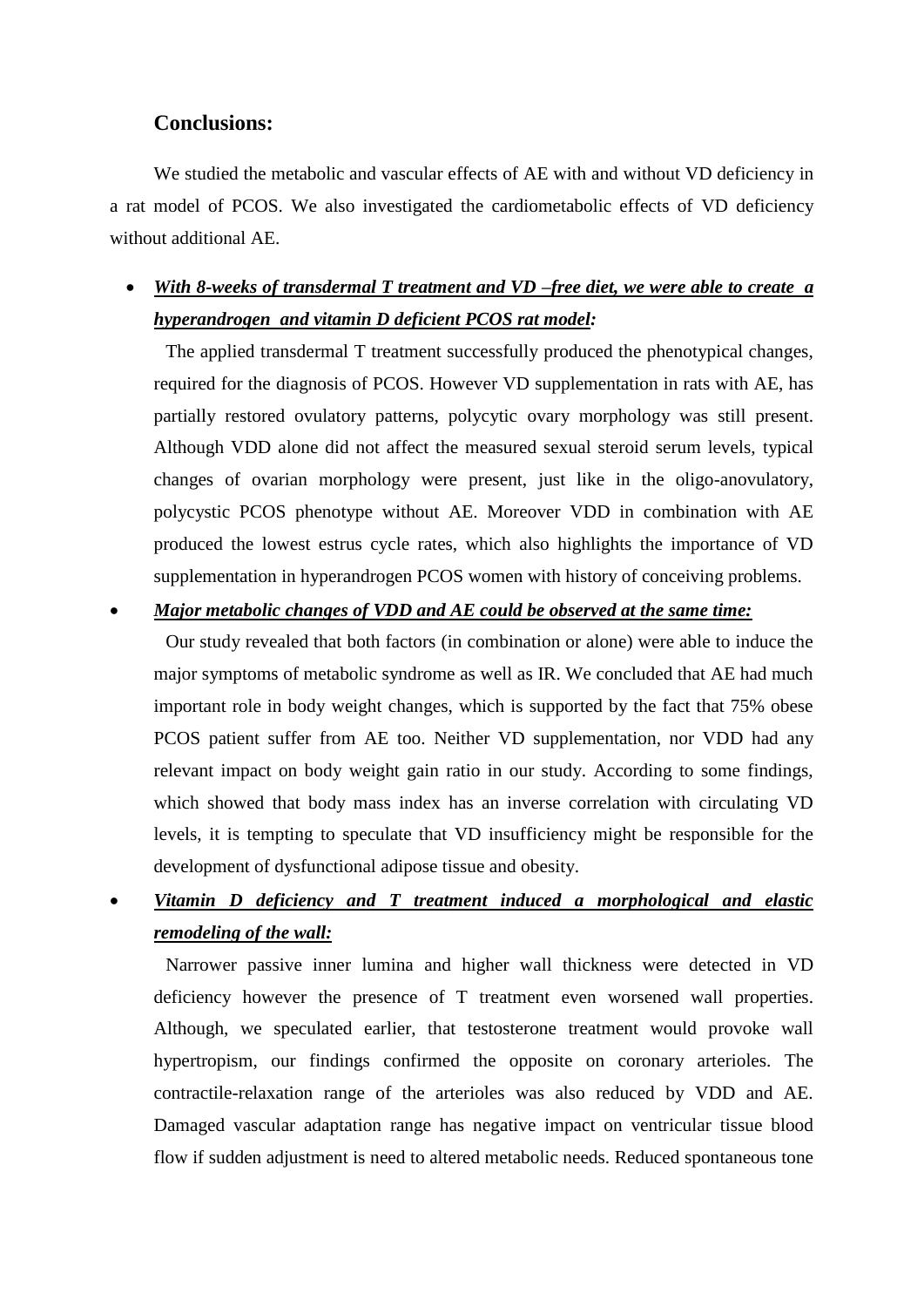## **Conclusions:**

We studied the metabolic and vascular effects of AE with and without VD deficiency in a rat model of PCOS. We also investigated the cardiometabolic effects of VD deficiency without additional AE.

## *With 8-weeks of transdermal T treatment and VD –free diet, we were able to create a hyperandrogen and vitamin D deficient PCOS rat model:*

The applied transdermal T treatment successfully produced the phenotypical changes, required for the diagnosis of PCOS. However VD supplementation in rats with AE, has partially restored ovulatory patterns, polycytic ovary morphology was still present. Although VDD alone did not affect the measured sexual steroid serum levels, typical changes of ovarian morphology were present, just like in the oligo-anovulatory, polycystic PCOS phenotype without AE. Moreover VDD in combination with AE produced the lowest estrus cycle rates, which also highlights the importance of VD supplementation in hyperandrogen PCOS women with history of conceiving problems.

## *Major metabolic changes of VDD and AE could be observed at the same time:*

Our study revealed that both factors (in combination or alone) were able to induce the major symptoms of metabolic syndrome as well as IR. We concluded that AE had much important role in body weight changes, which is supported by the fact that 75% obese PCOS patient suffer from AE too. Neither VD supplementation, nor VDD had any relevant impact on body weight gain ratio in our study. According to some findings, which showed that body mass index has an inverse correlation with circulating VD levels, it is tempting to speculate that VD insufficiency might be responsible for the development of dysfunctional adipose tissue and obesity.

## *Vitamin D deficiency and T treatment induced a morphological and elastic remodeling of the wall:*

Narrower passive inner lumina and higher wall thickness were detected in VD deficiency however the presence of T treatment even worsened wall properties. Although, we speculated earlier, that testosterone treatment would provoke wall hypertropism, our findings confirmed the opposite on coronary arterioles. The contractile-relaxation range of the arterioles was also reduced by VDD and AE. Damaged vascular adaptation range has negative impact on ventricular tissue blood flow if sudden adjustment is need to altered metabolic needs. Reduced spontaneous tone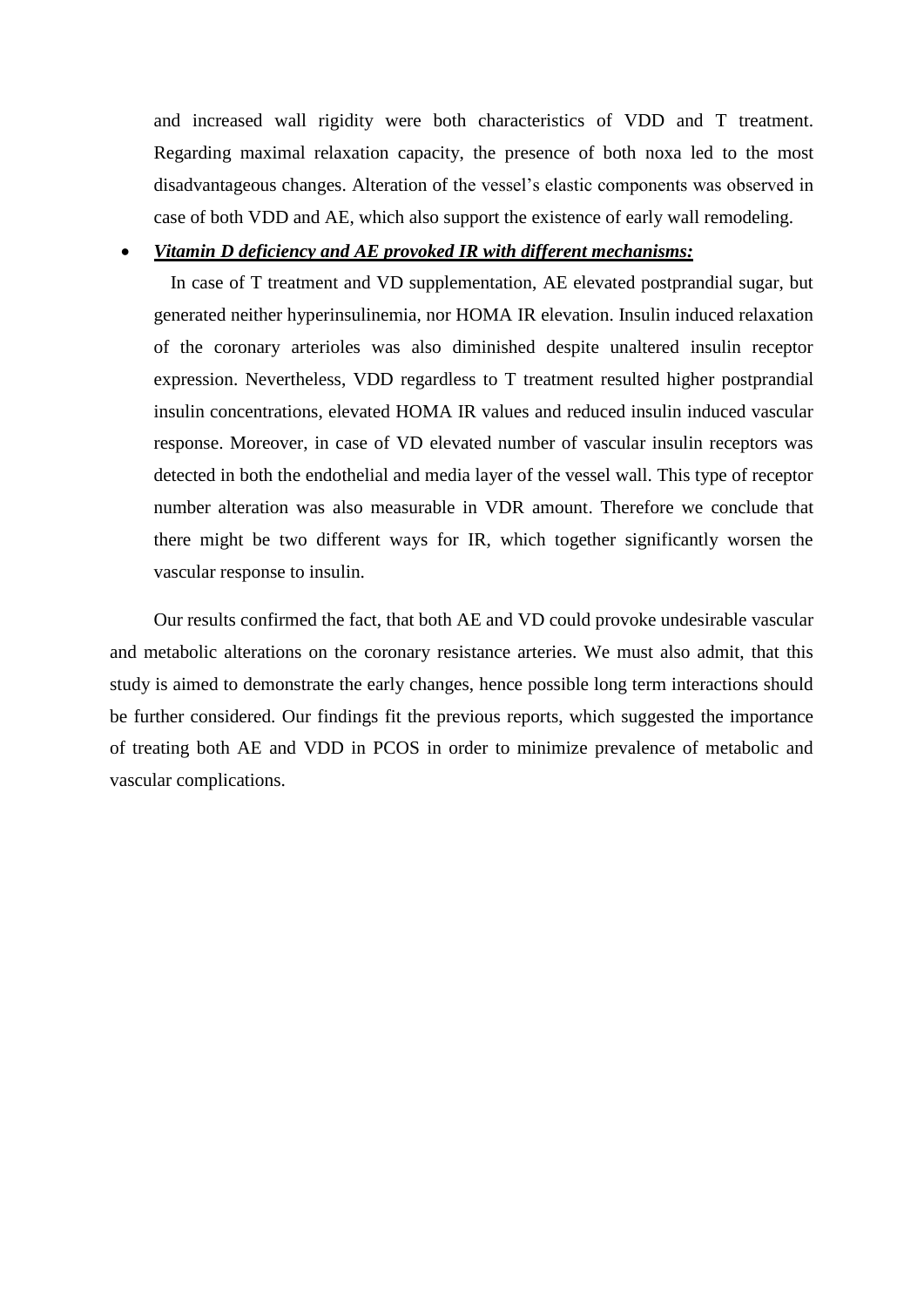and increased wall rigidity were both characteristics of VDD and T treatment. Regarding maximal relaxation capacity, the presence of both noxa led to the most disadvantageous changes. Alteration of the vessel's elastic components was observed in case of both VDD and AE, which also support the existence of early wall remodeling.

## *Vitamin D deficiency and AE provoked IR with different mechanisms:*

In case of T treatment and VD supplementation, AE elevated postprandial sugar, but generated neither hyperinsulinemia, nor HOMA IR elevation. Insulin induced relaxation of the coronary arterioles was also diminished despite unaltered insulin receptor expression. Nevertheless, VDD regardless to T treatment resulted higher postprandial insulin concentrations, elevated HOMA IR values and reduced insulin induced vascular response. Moreover, in case of VD elevated number of vascular insulin receptors was detected in both the endothelial and media layer of the vessel wall. This type of receptor number alteration was also measurable in VDR amount. Therefore we conclude that there might be two different ways for IR, which together significantly worsen the vascular response to insulin.

Our results confirmed the fact, that both AE and VD could provoke undesirable vascular and metabolic alterations on the coronary resistance arteries. We must also admit, that this study is aimed to demonstrate the early changes, hence possible long term interactions should be further considered. Our findings fit the previous reports, which suggested the importance of treating both AE and VDD in PCOS in order to minimize prevalence of metabolic and vascular complications.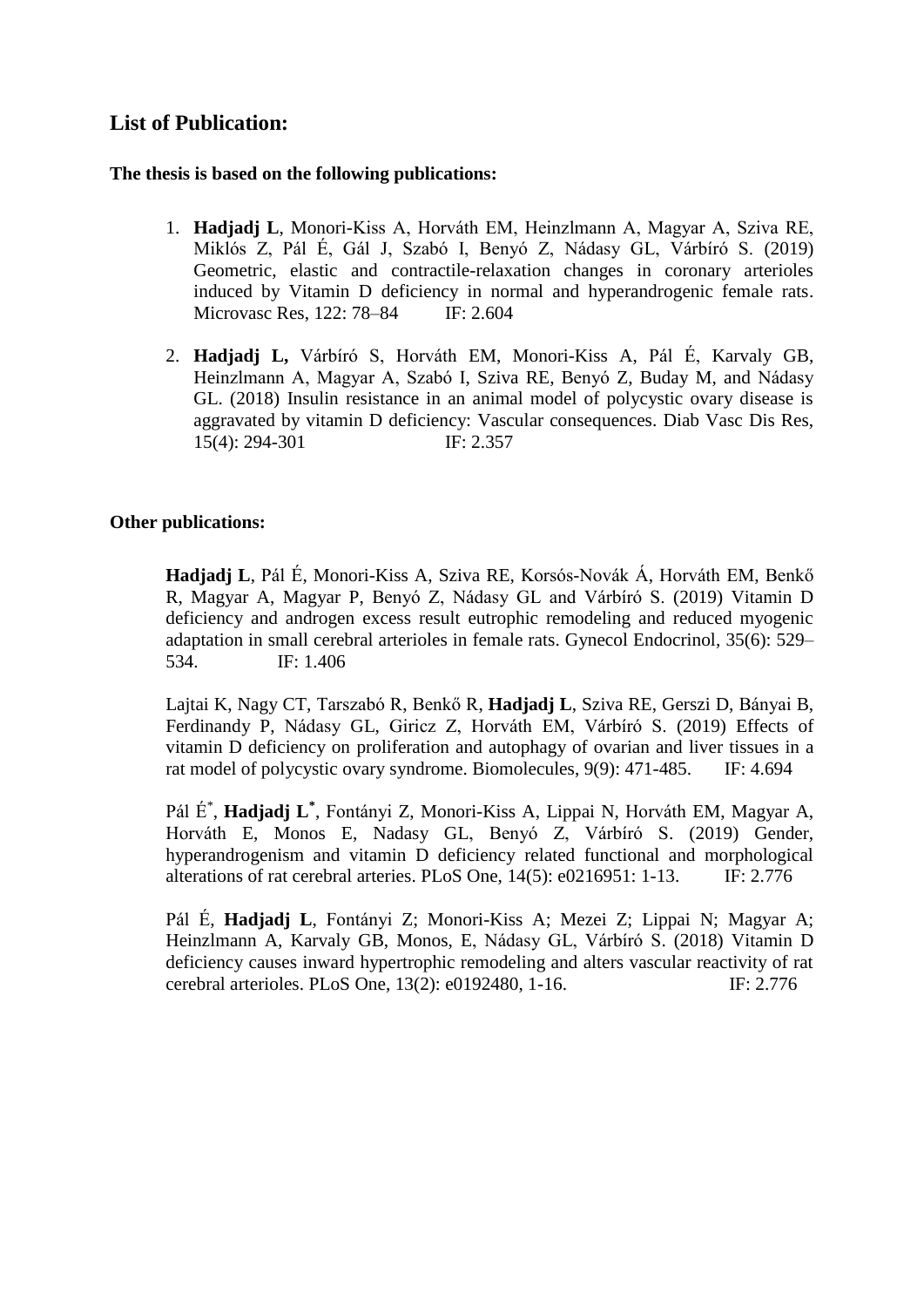## **List of Publication:**

### **The thesis is based on the following publications:**

- 1. **Hadjadj L**, Monori-Kiss A, Horváth EM, Heinzlmann A, Magyar A, Sziva RE, Miklós Z, Pál É, Gál J, Szabó I, Benyó Z, Nádasy GL, Várbíró S. (2019) [Geometric, elastic and contractile-relaxation changes in coronary arterioles](https://m2.mtmt.hu/gui2/?mode=browse¶ms=publication;30338457)  [induced by Vitamin D deficiency in normal and hyperandrogenic female rats.](https://m2.mtmt.hu/gui2/?mode=browse¶ms=publication;30338457) Microvasc Res, 122: 78–84 IF: 2.604
- 2. **Hadjadj L,** Várbíró S, Horváth EM, Monori-Kiss A, Pál É, Karvaly GB, Heinzlmann A, Magyar A, Szabó I, Sziva RE, Benyó Z, Buday M, and Nádasy GL. (2018) Insulin resistance in an animal model of polycystic ovary disease is aggravated by vitamin D deficiency: Vascular consequences. Diab Vasc Dis Res, 15(4): 294-301 IF: 2.357

## **Other publications:**

**[Hadjadj L](https://m2.mtmt.hu/gui2/?type=authors&mode=browse&sel=10027020)**, [Pál É,](https://m2.mtmt.hu/gui2/?type=authors&mode=browse&sel=10056835) [Monori-Kiss A,](https://m2.mtmt.hu/gui2/?type=authors&mode=browse&sel=10026115) [Sziva RE,](https://m2.mtmt.hu/gui2/?type=authors&mode=browse&sel=10065600) Korsós-Novák Á, [Horváth EM](https://m2.mtmt.hu/gui2/?type=authors&mode=browse&sel=10020503), [Benkő](https://m2.mtmt.hu/gui2/?type=authors&mode=browse&sel=10022169)  [R,](https://m2.mtmt.hu/gui2/?type=authors&mode=browse&sel=10022169) [Magyar A,](https://m2.mtmt.hu/gui2/?type=authors&mode=browse&sel=10018476) [Magyar P,](https://m2.mtmt.hu/gui2/?type=authors&mode=browse&sel=10023698) [Benyó Z,](https://m2.mtmt.hu/gui2/?type=authors&mode=browse&sel=10009921) Nádasy GL and Várbíró S. (2019) [Vitamin D](https://m2.mtmt.hu/gui2/?mode=browse¶ms=publication;30390754)  [deficiency and androgen excess result eutrophic remodeling and reduced myogenic](https://m2.mtmt.hu/gui2/?mode=browse¶ms=publication;30390754)  [adaptation in small cerebral arterioles in female rats.](https://m2.mtmt.hu/gui2/?mode=browse¶ms=publication;30390754) Gynecol Endocrinol, 35(6): 529– 534. IF: 1.406

[Lajtai](https://m2.mtmt.hu/gui2/?type=authors&mode=browse&sel=10061648) K, [Nagy CT,](https://m2.mtmt.hu/gui2/?type=authors&mode=browse&sel=10051812) [Tarszabó R,](https://m2.mtmt.hu/gui2/?type=authors&mode=browse&sel=10036698) [Benkő R,](https://m2.mtmt.hu/gui2/?type=authors&mode=browse&sel=10022169) **[Hadjadj L](https://m2.mtmt.hu/gui2/?type=authors&mode=browse&sel=10027020)**, [Sziva RE,](https://m2.mtmt.hu/gui2/?type=authors&mode=browse&sel=10065600) Gerszi D, Bányai B, [Ferdinandy](https://m2.mtmt.hu/gui2/?type=authors&mode=browse&sel=10010125) P, [Nádasy](https://m2.mtmt.hu/gui2/?type=authors&mode=browse&sel=10023262) GL, Giricz Z, Horváth EM, Várbíró S. (2019) [Effects of](https://m2.mtmt.hu/gui2/?mode=browse¶ms=publication;30801131)  [vitamin D deficiency on proliferation and autophagy of ovarian and liver tissues in a](https://m2.mtmt.hu/gui2/?mode=browse¶ms=publication;30801131)  [rat model of polycystic ovary syndrome.](https://m2.mtmt.hu/gui2/?mode=browse¶ms=publication;30801131) Biomolecules, 9(9): 471-485. IF: 4.694

[Pál É](https://m2.mtmt.hu/gui2/?type=authors&mode=browse&sel=10056835)\* , **[Hadjadj](https://m2.mtmt.hu/gui2/?type=authors&mode=browse&sel=10027020) L \*** , [Fontányi](https://m2.mtmt.hu/gui2/?type=authors&mode=browse&sel=10023889) Z, [Monori-Kiss](https://m2.mtmt.hu/gui2/?type=authors&mode=browse&sel=10026115) A, Lippai N, [Horváth](https://m2.mtmt.hu/gui2/?type=authors&mode=browse&sel=10020503) EM, [Magyar](https://m2.mtmt.hu/gui2/?type=authors&mode=browse&sel=10018476) A, Horváth E, [Monos](https://m2.mtmt.hu/gui2/?type=authors&mode=browse&sel=10009471) E, [Nadasy](https://m2.mtmt.hu/gui2/?type=authors&mode=browse&sel=10023262) GL, Benyó Z, Várbíró S. (2019) [Gender,](https://m2.mtmt.hu/gui2/?mode=browse¶ms=publication;30701767)  [hyperandrogenism and vitamin D deficiency related functional and morphological](https://m2.mtmt.hu/gui2/?mode=browse¶ms=publication;30701767)  [alterations of rat cerebral arteries.](https://m2.mtmt.hu/gui2/?mode=browse¶ms=publication;30701767) PLoS One, 14(5): e0216951: 1-13. IF: 2.776

[Pál](https://m2.mtmt.hu/gui2/?type=authors&mode=browse&sel=10056835) É, **[Hadjadj](https://m2.mtmt.hu/gui2/?type=authors&mode=browse&sel=10027020) L**, [Fontányi](https://m2.mtmt.hu/gui2/?type=authors&mode=browse&sel=10023889) Z; [Monori-Kiss](https://m2.mtmt.hu/gui2/?type=authors&mode=browse&sel=10026115) A; [Mezei](https://m2.mtmt.hu/gui2/?type=authors&mode=browse&sel=10057569) Z; Lippai N; [Magyar](https://m2.mtmt.hu/gui2/?type=authors&mode=browse&sel=10018476) A; [Heinzlmann](https://m2.mtmt.hu/gui2/?type=authors&mode=browse&sel=10018470) A, [Karvaly](https://m2.mtmt.hu/gui2/?type=authors&mode=browse&sel=10049015) GB, [Monos, E,](https://m2.mtmt.hu/gui2/?type=authors&mode=browse&sel=10009471) Nádasy GL, Várbíró S. (2018) [Vitamin D](https://m2.mtmt.hu/gui2/?mode=browse¶ms=publication;3333552)  [deficiency causes inward hypertrophic remodeling and alters vascular reactivity of rat](https://m2.mtmt.hu/gui2/?mode=browse¶ms=publication;3333552)  [cerebral arterioles.](https://m2.mtmt.hu/gui2/?mode=browse¶ms=publication;3333552) PLoS One, 13(2): e0192480, 1-16. IF: 2.776